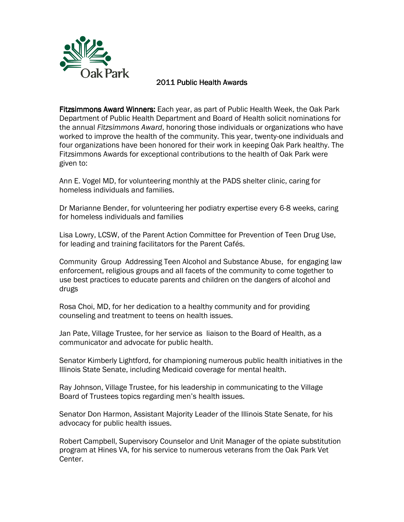

## 2011 Public Health Awards

Fitzsimmons Award Winners: Each year, as part of Public Health Week, the Oak Park Department of Public Health Department and Board of Health solicit nominations for the annual Fitzsimmons Award, honoring those individuals or organizations who have worked to improve the health of the community. This year, twenty-one individuals and four organizations have been honored for their work in keeping Oak Park healthy. The Fitzsimmons Awards for exceptional contributions to the health of Oak Park were given to:

Ann E. Vogel MD, for volunteering monthly at the PADS shelter clinic, caring for homeless individuals and families.

Dr Marianne Bender, for volunteering her podiatry expertise every 6-8 weeks, caring for homeless individuals and families

Lisa Lowry, LCSW, of the Parent Action Committee for Prevention of Teen Drug Use, for leading and training facilitators for the Parent Cafés.

Community Group Addressing Teen Alcohol and Substance Abuse, for engaging law enforcement, religious groups and all facets of the community to come together to use best practices to educate parents and children on the dangers of alcohol and drugs

Rosa Choi, MD, for her dedication to a healthy community and for providing counseling and treatment to teens on health issues.

Jan Pate, Village Trustee, for her service as liaison to the Board of Health, as a communicator and advocate for public health.

Senator Kimberly Lightford, for championing numerous public health initiatives in the Illinois State Senate, including Medicaid coverage for mental health.

Ray Johnson, Village Trustee, for his leadership in communicating to the Village Board of Trustees topics regarding men's health issues.

Senator Don Harmon, Assistant Majority Leader of the Illinois State Senate, for his advocacy for public health issues.

Robert Campbell, Supervisory Counselor and Unit Manager of the opiate substitution program at Hines VA, for his service to numerous veterans from the Oak Park Vet Center.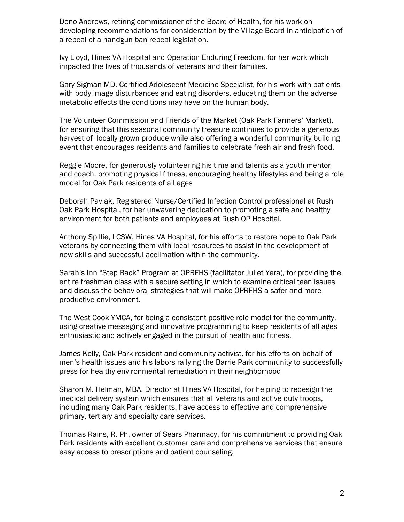Deno Andrews, retiring commissioner of the Board of Health, for his work on developing recommendations for consideration by the Village Board in anticipation of a repeal of a handgun ban repeal legislation.

Ivy Lloyd, Hines VA Hospital and Operation Enduring Freedom, for her work which impacted the lives of thousands of veterans and their families.

Gary Sigman MD, Certified Adolescent Medicine Specialist, for his work with patients with body image disturbances and eating disorders, educating them on the adverse metabolic effects the conditions may have on the human body.

The Volunteer Commission and Friends of the Market (Oak Park Farmers' Market), for ensuring that this seasonal community treasure continues to provide a generous harvest of locally grown produce while also offering a wonderful community building event that encourages residents and families to celebrate fresh air and fresh food.

Reggie Moore, for generously volunteering his time and talents as a youth mentor and coach, promoting physical fitness, encouraging healthy lifestyles and being a role model for Oak Park residents of all ages

Deborah Pavlak, Registered Nurse/Certified Infection Control professional at Rush Oak Park Hospital, for her unwavering dedication to promoting a safe and healthy environment for both patients and employees at Rush OP Hospital.

Anthony Spillie, LCSW, Hines VA Hospital, for his efforts to restore hope to Oak Park veterans by connecting them with local resources to assist in the development of new skills and successful acclimation within the community.

Sarah's Inn "Step Back" Program at OPRFHS (facilitator Juliet Yera), for providing the entire freshman class with a secure setting in which to examine critical teen issues and discuss the behavioral strategies that will make OPRFHS a safer and more productive environment.

The West Cook YMCA, for being a consistent positive role model for the community, using creative messaging and innovative programming to keep residents of all ages enthusiastic and actively engaged in the pursuit of health and fitness.

James Kelly, Oak Park resident and community activist, for his efforts on behalf of men's health issues and his labors rallying the Barrie Park community to successfully press for healthy environmental remediation in their neighborhood

Sharon M. Helman, MBA, Director at Hines VA Hospital, for helping to redesign the medical delivery system which ensures that all veterans and active duty troops, including many Oak Park residents, have access to effective and comprehensive primary, tertiary and specialty care services.

Thomas Rains, R. Ph, owner of Sears Pharmacy, for his commitment to providing Oak Park residents with excellent customer care and comprehensive services that ensure easy access to prescriptions and patient counseling.